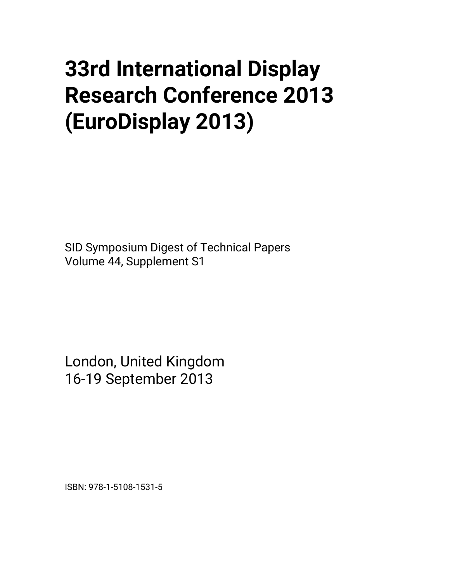## **33rd International Display Research Conference 2013 (EuroDisplay 2013)**

SID Symposium Digest of Technical Papers Volume 44, Supplement S1

London, United Kingdom 16-19 September 2013

ISBN: 978-1-5108-1531-5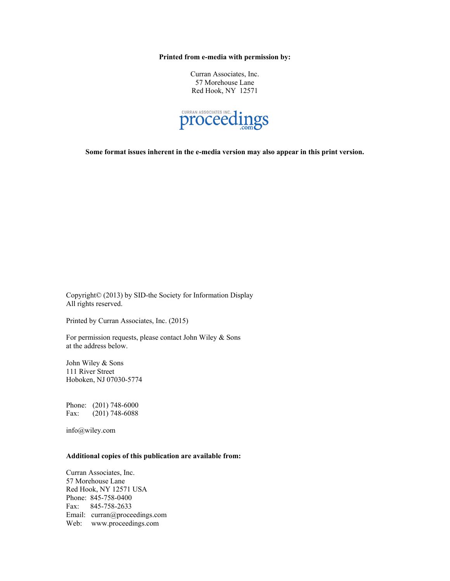**Printed from e-media with permission by:** 

Curran Associates, Inc. 57 Morehouse Lane Red Hook, NY 12571



**Some format issues inherent in the e-media version may also appear in this print version.** 

Copyright© (2013) by SID-the Society for Information Display All rights reserved.

Printed by Curran Associates, Inc. (2015)

For permission requests, please contact John Wiley & Sons at the address below.

John Wiley & Sons 111 River Street Hoboken, NJ 07030-5774

Phone: (201) 748-6000 Fax: (201) 748-6088

info@wiley.com

## **Additional copies of this publication are available from:**

Curran Associates, Inc. 57 Morehouse Lane Red Hook, NY 12571 USA Phone: 845-758-0400 Fax: 845-758-2633 Email: curran@proceedings.com Web: www.proceedings.com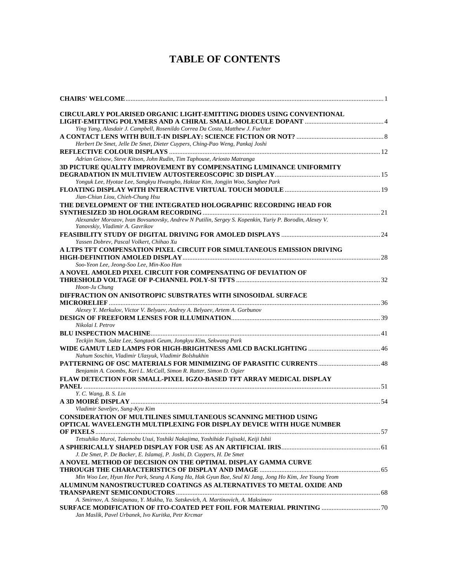## **TABLE OF CONTENTS**

| <b>CIRCULARLY POLARISED ORGANIC LIGHT-EMITTING DIODES USING CONVENTIONAL</b>                           |  |
|--------------------------------------------------------------------------------------------------------|--|
|                                                                                                        |  |
| Ying Yang, Alasdair J. Campbell, Rosenildo Correa Da Costa, Matthew J. Fuchter                         |  |
|                                                                                                        |  |
| Herbert De Smet, Jelle De Smet, Dieter Cuypers, Ching-Pao Weng, Pankaj Joshi                           |  |
|                                                                                                        |  |
| Adrian Geisow, Steve Kitson, John Rudin, Tim Taphouse, Ariosto Matranga                                |  |
| 3D PICTURE OUALITY IMPROVEMENT BY COMPENSATING LUMINANCE UNIFORMITY                                    |  |
|                                                                                                        |  |
| Yonguk Lee, Hyotae Lee, Sangkyu Hwangbo, Haktae Kim, Jongjin Woo, Sanghee Park                         |  |
|                                                                                                        |  |
| Jian-Chiun Liou, Chieh-Chung Hsu                                                                       |  |
| THE DEVELOPMENT OF THE INTEGRATED HOLOGRAPHIC RECORDING HEAD FOR                                       |  |
|                                                                                                        |  |
| Alexander Morozov, Ivan Bovsunovsky, Andrew N Putilin, Sergey S. Kopenkin, Yuriy P. Borodin, Alexey V. |  |
| Yanovskiy, Vladimir A. Gavrikov                                                                        |  |
|                                                                                                        |  |
| Yassen Dobrev, Pascal Volkert, Chihao Xu                                                               |  |
| A LTPS TFT COMPENSATION PIXEL CIRCUIT FOR SIMULTANEOUS EMISSION DRIVING                                |  |
|                                                                                                        |  |
| Soo-Yeon Lee, Jeong-Soo Lee, Min-Koo Han                                                               |  |
| A NOVEL AMOLED PIXEL CIRCUIT FOR COMPENSATING OF DEVIATION OF                                          |  |
|                                                                                                        |  |
| Hoon-Ju Chung                                                                                          |  |
| DIFFRACTION ON ANISOTROPIC SUBSTRATES WITH SINOSOIDAL SURFACE                                          |  |
|                                                                                                        |  |
| Alexey Y. Merkulov, Victor V. Belyaev, Andrey A. Belyaev, Artem A. Gorbunov                            |  |
|                                                                                                        |  |
| Nikolai I. Petrov                                                                                      |  |
|                                                                                                        |  |
| Teckjin Nam, Sukte Lee, Sangtaek Geum, Jongkyu Kim, Sekwang Park                                       |  |
|                                                                                                        |  |
| Nahum Soschin, Vladimir Ulasyuk, Vladimir Bolshukhin                                                   |  |
|                                                                                                        |  |
| Benjamin A. Coombs, Keri L. McCall, Simon R. Rutter, Simon D. Ogier                                    |  |
| <b>FLAW DETECTION FOR SMALL-PIXEL IGZO-BASED TFT ARRAY MEDICAL DISPLAY</b>                             |  |
|                                                                                                        |  |
| Y. C. Wang, B. S. Lin                                                                                  |  |
|                                                                                                        |  |
| Vladimir Saveljev, Sung-Kyu Kim                                                                        |  |
| <b>CONSIDERATION OF MULTILINES SIMULTANEOUS SCANNING METHOD USING</b>                                  |  |
| OPTICAL WAVELENGTH MULTIPLEXING FOR DISPLAY DEVICE WITH HUGE NUMBER                                    |  |
|                                                                                                        |  |
| Tetsuhiko Muroi, Takenobu Usui, Yoshiki Nakajima, Yoshihide Fujisaki, Keiji Ishii                      |  |
|                                                                                                        |  |
| J. De Smet, P. De Backer, E. Islamaj, P. Joshi, D. Cuypers, H. De Smet                                 |  |
| A NOVEL METHOD OF DECISION ON THE OPTIMAL DISPLAY GAMMA CURVE                                          |  |
|                                                                                                        |  |
| Min Woo Lee, Hyun Hee Park, Seung A Kang Ha, Hak Gyun Bae, Seul Ki Jang, Jong Ho Kim, Jee Young Yeom   |  |
| ALUMINUM NANOSTRUCTURED COATINGS AS ALTERNATIVES TO METAL OXIDE AND                                    |  |
|                                                                                                        |  |
| A. Smirnov, A. Stsiapanau, Y. Mukha, Ya. Satskevich, A. Martinovich, A. Maksimov                       |  |
|                                                                                                        |  |
| Jan Maslik, Pavel Urbanek, Ivo Kuritka, Petr Krcmar                                                    |  |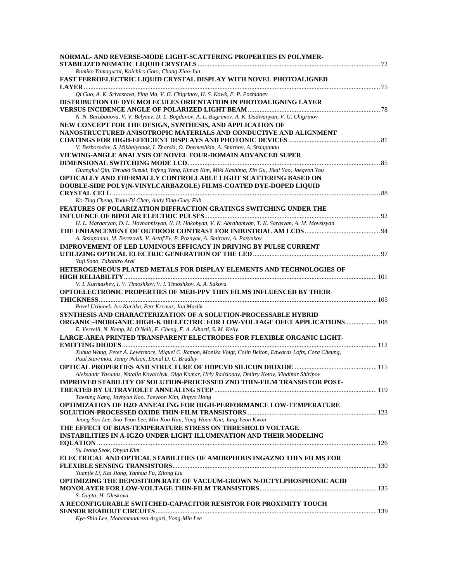| NORMAL- AND REVERSE-MODE LIGHT-SCATTERING PROPERTIES IN POLYMER-                                                               |  |
|--------------------------------------------------------------------------------------------------------------------------------|--|
|                                                                                                                                |  |
| Rumiko Yamaguchi, Koichiro Goto, Chang Xiao-Jun                                                                                |  |
| FAST FERROELECTRIC LIQUID CRYSTAL DISPLAY WITH NOVEL PHOTOALIGNED                                                              |  |
|                                                                                                                                |  |
| Qi Guo, A. K. Srivastava, Ying Ma, V. G. Chigrinov, H. S. Kowk, E. P. Pozhidaev                                                |  |
| DISTRIBUTION OF DYE MOLECULES ORIENTATION IN PHOTOALIGNING LAYER                                                               |  |
| N. N. Barabanova, V. V. Belyaev, D. L. Bogdanov, A. L. Bugrimov, A. K. Dadivanyan, V. G. Chigrinov                             |  |
|                                                                                                                                |  |
| NEW CONCEPT FOR THE DESIGN, SYNTHESIS, AND APPLICATION OF<br>NANOSTRUCTURED ANISOTROPIC MATERIALS AND CONDUCTIVE AND ALIGNMENT |  |
|                                                                                                                                |  |
| V. Bezborodov, S. Mikhalyonok, I. Zharski, O. Dormeshkin, A. Smirnov, A. Stsiapanau                                            |  |
| VIEWING-ANGLE ANALYSIS OF NOVEL FOUR-DOMAIN ADVANCED SUPER                                                                     |  |
|                                                                                                                                |  |
| Guangkui Qin, Teruaki Suzuki, Yafeng Yang, Kiman Kim, Miki Kashima, Xin Gu, Jikai Yao, Jaegeon You                             |  |
| OPTICALLY AND THERMALLY CONTROLLABLE LIGHT SCATTERING BASED ON                                                                 |  |
| DOUBLE-SIDE POLY(N-VINYLCARBAZOLE) FILMS-COATED DYE-DOPED LIQUID                                                               |  |
|                                                                                                                                |  |
| Ko-Ting Cheng, Yuan-Di Chen, Andy Ying-Guey Fuh                                                                                |  |
| FEATURES OF POLARIZATION DIFFRACTION GRATINGS SWITCHING UNDER THE                                                              |  |
|                                                                                                                                |  |
| H. L. Margaryan, D. L. Hovhannisyan, N. H. Hakobyan, V. K. Abrahamyan, T. K. Sargsyan, A. M. Movsisyan                         |  |
|                                                                                                                                |  |
| A. Stsiapanau, M. Berezovik, V. Astaf'Ev, P. Poznyak, A. Smirnov, A. Pasynkov                                                  |  |
| <b>IMPROVEMENT OF LED LUMINOUS EFFICACY IN DRIVING BY PULSE CURRENT</b>                                                        |  |
|                                                                                                                                |  |
| Yuji Sano, Takahiro Arai                                                                                                       |  |
| HETEROGENEOUS PLATED METALS FOR DISPLAY ELEMENTS AND TECHNOLOGIES OF                                                           |  |
|                                                                                                                                |  |
| V. I. Kurmashev, I. V. Timoshkov, V. I. Timoshkov, A. A. Sakova                                                                |  |
| <b>OPTOELECTRONIC PROPERTIES OF MEH-PPV THIN FILMS INFLUENCED BY THEIR</b>                                                     |  |
|                                                                                                                                |  |
| Pavel Urbanek, Ivo Kuritka, Petr Krcmar, Jan Maslik                                                                            |  |
| <b>SYNTHESIS AND CHARACTERIZATION OF A SOLUTION-PROCESSABLE HYBRID</b>                                                         |  |
| <b>ORGANIC-INORGANIC HIGH-K DIELECTRIC FOR LOW-VOLTAGE OFET APPLICATIONS 108</b>                                               |  |
| E. Verrelli, N. Kemp, M. O'Neill, F. Cheng, F. A. Alharti, S. M. Kelly                                                         |  |
| LARGE-AREA PRINTED TRANSPARENT ELECTRODES FOR FLEXIBLE ORGANIC LIGHT-                                                          |  |
|                                                                                                                                |  |
| Xuhua Wang, Peter A. Levermore, Miguel C. Ramon, Monika Voigt, Colin Belton, Edwards Lofts, Cora Cheung,                       |  |
| Paul Stavrinou, Jenny Nelson, Donal D. C. Bradley                                                                              |  |
|                                                                                                                                |  |
| Aleksandr Yasunas, Natalia Kovalchyk, Olga Komar, Uriy Radzionay, Dmitry Kotov, Vladimir Shiripov                              |  |
| IMPROVED STABILITY OF SOLUTION-PROCESSED ZNO THIN-FILM TRANSISTOR POST-                                                        |  |
|                                                                                                                                |  |
| Taesung Kang, Jayhyun Koo, Taeyoon Kim, Jinpyo Hong                                                                            |  |
| OPTIMIZATION OF H2O ANNEALING FOR HIGH-PERFORMANCE LOW-TEMPERATURE                                                             |  |
|                                                                                                                                |  |
| Jeong-Soo Lee, Soo-Yeon Lee, Min-Koo Han, Yong-Hoon Kim, Jang-Yeon Kwon                                                        |  |
| THE EFFECT OF BIAS-TEMPERATURE STRESS ON THRESHOLD VOLTAGE                                                                     |  |
| <b>INSTABILITIES IN A-IGZO UNDER LIGHT ILLUMINATION AND THEIR MODELING</b>                                                     |  |
|                                                                                                                                |  |
| Su Jeong Seok, Ohyun Kim                                                                                                       |  |
| ELECTRICAL AND OPTICAL STABILITIES OF AMORPHOUS INGAZNO THIN FILMS FOR                                                         |  |
|                                                                                                                                |  |
| Yuanjie Li, Kai Jiang, Yanhua Fu, Zilong Liu<br>OPTIMIZING THE DEPOSITION RATE OF VACUUM-GROWN N-OCTYLPHOSPHONIC ACID          |  |
|                                                                                                                                |  |
| S. Gupta, H. Gleskova                                                                                                          |  |
| A RECONFIGURABLE SWITCHED-CAPACITOR RESISTOR FOR PROXIMITY TOUCH                                                               |  |
|                                                                                                                                |  |
| Kye-Shin Lee, Mohammadreza Asgari, Yong-Min Lee                                                                                |  |
|                                                                                                                                |  |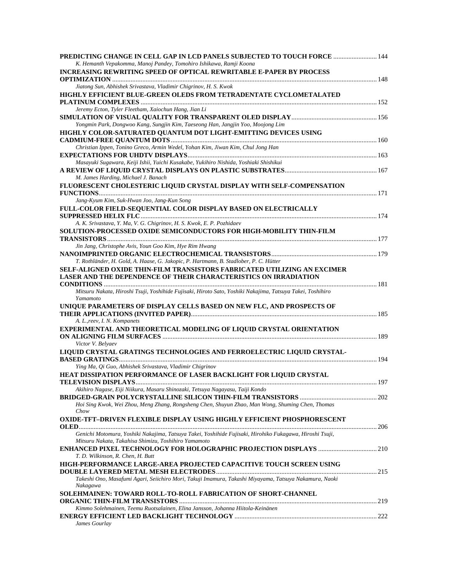| PREDICTING CHANGE IN CELL GAP IN LCD PANELS SUBJECTED TO TOUCH FORCE  144<br>K. Hemanth Vepakomma, Manoj Pandey, Tomohiro Ishikawa, Ramji Koona |  |
|-------------------------------------------------------------------------------------------------------------------------------------------------|--|
| INCREASING REWRITING SPEED OF OPTICAL REWRITABLE E-PAPER BY PROCESS                                                                             |  |
|                                                                                                                                                 |  |
| Jiatong Sun, Abhishek Srivastava, Vladimir Chigrinov, H. S. Kwok                                                                                |  |
| HIGHLY EFFICIENT BLUE-GREEN OLEDS FROM TETRADENTATE CYCLOMETALATED                                                                              |  |
|                                                                                                                                                 |  |
| Jeremy Ecton, Tyler Fleetham, Xaiochun Hang, Jian Li                                                                                            |  |
|                                                                                                                                                 |  |
| Yongmin Park, Dongwoo Kang, Sungjin Kim, Taeseong Han, Jangjin Yoo, Moojong Lim                                                                 |  |
| HIGHLY COLOR-SATURATED QUANTUM DOT LIGHT-EMITTING DEVICES USING                                                                                 |  |
|                                                                                                                                                 |  |
| Christian Ippen, Tonino Greco, Armin Wedel, Yohan Kim, Jiwan Kim, Chul Jong Han                                                                 |  |
|                                                                                                                                                 |  |
| Masayuki Sugawara, Keiji Ishii, Yuichi Kusakabe, Yukihiro Nishida, Yoshiaki Shishikui                                                           |  |
|                                                                                                                                                 |  |
| M. James Harding, Michael J. Banach                                                                                                             |  |
| FLUORESCENT CHOLESTERIC LIQUID CRYSTAL DISPLAY WITH SELF-COMPENSATION                                                                           |  |
|                                                                                                                                                 |  |
| Jang-Kyum Kim, Suk-Hwan Joo, Jang-Kun Song                                                                                                      |  |
| <b>FULL-COLOR FIELD-SEQUENTIAL COLOR DISPLAY BASED ON ELECTRICALLY</b>                                                                          |  |
|                                                                                                                                                 |  |
| A. K. Srivastava, Y. Ma, V. G. Chigrinov, H. S. Kwok, E. P. Pozhidaev                                                                           |  |
| SOLUTION-PROCESSED OXIDE SEMICONDUCTORS FOR HIGH-MOBILITY THIN-FILM                                                                             |  |
|                                                                                                                                                 |  |
| Jin Jang, Christophe Avis, Youn Goo Kim, Hye Rim Hwang                                                                                          |  |
|                                                                                                                                                 |  |
| T. Rothländer, H. Gold, A. Haase, G. Jakopic, P. Hartmann, B. Stadlober, P. C. Hütter                                                           |  |
| SELF-ALIGNED OXIDE THIN-FILM TRANSISTORS FABRICATED UTILIZING AN EXCIMER                                                                        |  |
| <b>LASER AND THE DEPENDENCE OF THEIR CHARACTERISTICS ON IRRADIATION</b>                                                                         |  |
|                                                                                                                                                 |  |
| Mitsuru Nakata, Hiroshi Tsuji, Yoshihide Fujisaki, Hiroto Sato, Yoshiki Nakajima, Tatsuya Takei, Toshihiro                                      |  |
| Yamamoto                                                                                                                                        |  |
| UNIQUE PARAMETERS OF DISPLAY CELLS BASED ON NEW FLC, AND PROSPECTS OF                                                                           |  |
|                                                                                                                                                 |  |
| A. L., reev, I. N. Kompanets                                                                                                                    |  |
| EXPERIMENTAL AND THEORETICAL MODELING OF LIQUID CRYSTAL ORIENTATION                                                                             |  |
|                                                                                                                                                 |  |
| Victor V. Belyaev                                                                                                                               |  |
| LIQUID CRYSTAL GRATINGS TECHNOLOGIES AND FERROELECTRIC LIQUID CRYSTAL-                                                                          |  |
| Ying Ma, Qi Guo, Abhishek Srivastava, Vladimir Chigrinov                                                                                        |  |
|                                                                                                                                                 |  |
| HEAT DISSIPATION PERFORMANCE OF LASER BACKLIGHT FOR LIQUID CRYSTAL                                                                              |  |
| Akihiro Nagase, Eiji Niikura, Masaru Shinozaki, Tetsuya Nagayasu, Taiji Kondo                                                                   |  |
|                                                                                                                                                 |  |
| Hoi Sing Kwok, Wei Zhou, Meng Zhang, Rongsheng Chen, Shuyun Zhao, Man Wong, Shuming Chen, Thomas                                                |  |
| Chow                                                                                                                                            |  |
| <b>OXIDE-TFT-DRIVEN FLEXIBLE DISPLAY USING HIGHLY EFFICIENT PHOSPHORESCENT</b>                                                                  |  |
|                                                                                                                                                 |  |
| Genichi Motomura, Yoshiki Nakajima, Tatsuya Takei, Yoshihide Fujisaki, Hirohiko Fukagawa, Hiroshi Tsuji,                                        |  |
| Mitsuru Nakata, Takahisa Shimizu, Toshihiro Yamamoto                                                                                            |  |
|                                                                                                                                                 |  |
| T. D. Wilkinson, R. Chen, H. Butt                                                                                                               |  |
| HIGH-PERFORMANCE LARGE-AREA PROJECTED CAPACITIVE TOUCH SCREEN USING                                                                             |  |
|                                                                                                                                                 |  |
| Takeshi Ono, Masafumi Agari, Seiichiro Mori, Takuji Imamura, Takashi Miyayama, Tatsuya Nakamura, Naoki                                          |  |
| Nakagawa                                                                                                                                        |  |
| SOLEHMAINEN: TOWARD ROLL-TO-ROLL FABRICATION OF SHORT-CHANNEL                                                                                   |  |
|                                                                                                                                                 |  |
| Kimmo Solehmainen, Teemu Ruotsalainen, Elina Jansson, Johanna Hiitola-Keinänen                                                                  |  |
|                                                                                                                                                 |  |
| James Gourlay                                                                                                                                   |  |